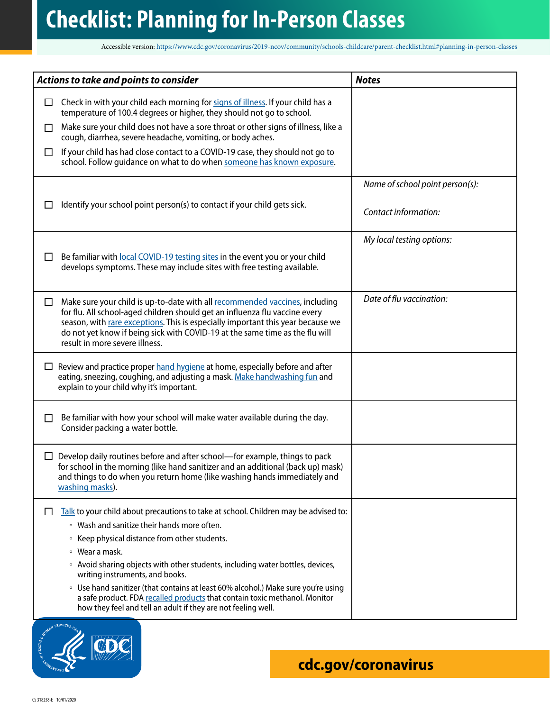## **Checklist: Planning for In-Person Classes**

Accessible version:<https://www.cdc.gov/coronavirus/2019-ncov/community/schools-childcare/parent-checklist.html#planning-in-person-classes>

| Actions to take and points to consider |                                                                                                                                                                                                                                                                                                                                                                 | <b>Notes</b>                    |
|----------------------------------------|-----------------------------------------------------------------------------------------------------------------------------------------------------------------------------------------------------------------------------------------------------------------------------------------------------------------------------------------------------------------|---------------------------------|
| □                                      | Check in with your child each morning for signs of illness. If your child has a<br>temperature of 100.4 degrees or higher, they should not go to school.                                                                                                                                                                                                        |                                 |
| □                                      | Make sure your child does not have a sore throat or other signs of illness, like a<br>cough, diarrhea, severe headache, vomiting, or body aches.                                                                                                                                                                                                                |                                 |
| □                                      | If your child has had close contact to a COVID-19 case, they should not go to<br>school. Follow guidance on what to do when someone has known exposure.                                                                                                                                                                                                         |                                 |
|                                        |                                                                                                                                                                                                                                                                                                                                                                 | Name of school point person(s): |
| ΙI                                     | Identify your school point person(s) to contact if your child gets sick.                                                                                                                                                                                                                                                                                        | Contact information:            |
| $\Box$                                 | Be familiar with local COVID-19 testing sites in the event you or your child<br>develops symptoms. These may include sites with free testing available.                                                                                                                                                                                                         | My local testing options:       |
| □                                      | Make sure your child is up-to-date with all recommended vaccines, including<br>for flu. All school-aged children should get an influenza flu vaccine every<br>season, with rare exceptions. This is especially important this year because we<br>do not yet know if being sick with COVID-19 at the same time as the flu will<br>result in more severe illness. | Date of flu vaccination:        |
| ப                                      | Review and practice proper hand hygiene at home, especially before and after<br>eating, sneezing, coughing, and adjusting a mask. Make handwashing fun and<br>explain to your child why it's important.                                                                                                                                                         |                                 |
| П                                      | Be familiar with how your school will make water available during the day.<br>Consider packing a water bottle.                                                                                                                                                                                                                                                  |                                 |
| ப                                      | Develop daily routines before and after school-for example, things to pack<br>for school in the morning (like hand sanitizer and an additional (back up) mask)<br>and things to do when you return home (like washing hands immediately and<br>washing masks).                                                                                                  |                                 |
| ப                                      | Talk to your child about precautions to take at school. Children may be advised to:<br>• Wash and sanitize their hands more often.                                                                                                                                                                                                                              |                                 |
|                                        | • Keep physical distance from other students.                                                                                                                                                                                                                                                                                                                   |                                 |
|                                        | ∘ Wear a mask.<br>• Avoid sharing objects with other students, including water bottles, devices,<br>writing instruments, and books.                                                                                                                                                                                                                             |                                 |
|                                        | • Use hand sanitizer (that contains at least 60% alcohol.) Make sure you're using<br>a safe product. FDA recalled products that contain toxic methanol. Monitor<br>how they feel and tell an adult if they are not feeling well.                                                                                                                                |                                 |

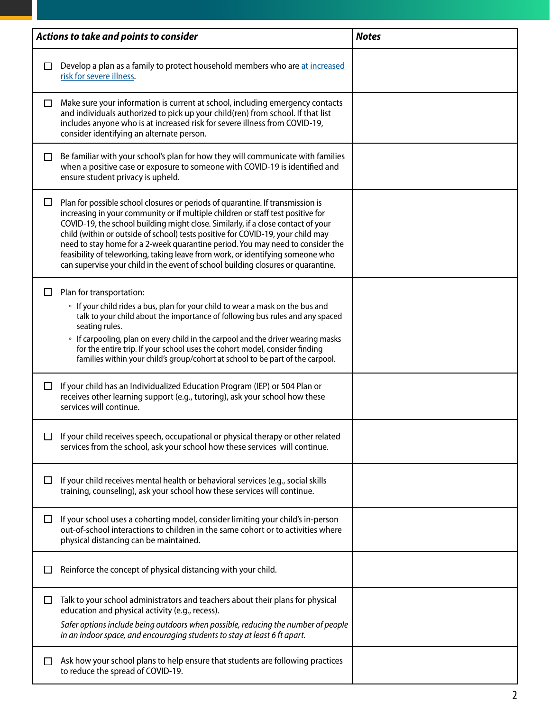| Actions to take and points to consider |                                                                                                                                                                                                                                                                                                                                                                                                                                                                                                                                                                                                  | <b>Notes</b> |
|----------------------------------------|--------------------------------------------------------------------------------------------------------------------------------------------------------------------------------------------------------------------------------------------------------------------------------------------------------------------------------------------------------------------------------------------------------------------------------------------------------------------------------------------------------------------------------------------------------------------------------------------------|--------------|
| П                                      | Develop a plan as a family to protect household members who are at increased<br>risk for severe illness.                                                                                                                                                                                                                                                                                                                                                                                                                                                                                         |              |
| □                                      | Make sure your information is current at school, including emergency contacts<br>and individuals authorized to pick up your child(ren) from school. If that list<br>includes anyone who is at increased risk for severe illness from COVID-19,<br>consider identifying an alternate person.                                                                                                                                                                                                                                                                                                      |              |
| □                                      | Be familiar with your school's plan for how they will communicate with families<br>when a positive case or exposure to someone with COVID-19 is identified and<br>ensure student privacy is upheld.                                                                                                                                                                                                                                                                                                                                                                                              |              |
| $\Box$                                 | Plan for possible school closures or periods of quarantine. If transmission is<br>increasing in your community or if multiple children or staff test positive for<br>COVID-19, the school building might close. Similarly, if a close contact of your<br>child (within or outside of school) tests positive for COVID-19, your child may<br>need to stay home for a 2-week quarantine period. You may need to consider the<br>feasibility of teleworking, taking leave from work, or identifying someone who<br>can supervise your child in the event of school building closures or quarantine. |              |
| ΙI                                     | Plan for transportation:<br>• If your child rides a bus, plan for your child to wear a mask on the bus and<br>talk to your child about the importance of following bus rules and any spaced<br>seating rules.<br>• If carpooling, plan on every child in the carpool and the driver wearing masks<br>for the entire trip. If your school uses the cohort model, consider finding<br>families within your child's group/cohort at school to be part of the carpool.                                                                                                                               |              |
| $\Box$                                 | If your child has an Individualized Education Program (IEP) or 504 Plan or<br>receives other learning support (e.g., tutoring), ask your school how these<br>services will continue.                                                                                                                                                                                                                                                                                                                                                                                                             |              |
| □                                      | If your child receives speech, occupational or physical therapy or other related<br>services from the school, ask your school how these services will continue.                                                                                                                                                                                                                                                                                                                                                                                                                                  |              |
| ப                                      | If your child receives mental health or behavioral services (e.g., social skills<br>training, counseling), ask your school how these services will continue.                                                                                                                                                                                                                                                                                                                                                                                                                                     |              |
| $\Box$                                 | If your school uses a cohorting model, consider limiting your child's in-person<br>out-of-school interactions to children in the same cohort or to activities where<br>physical distancing can be maintained.                                                                                                                                                                                                                                                                                                                                                                                    |              |
| $\Box$                                 | Reinforce the concept of physical distancing with your child.                                                                                                                                                                                                                                                                                                                                                                                                                                                                                                                                    |              |
| ப                                      | Talk to your school administrators and teachers about their plans for physical<br>education and physical activity (e.g., recess).                                                                                                                                                                                                                                                                                                                                                                                                                                                                |              |
|                                        | Safer options include being outdoors when possible, reducing the number of people<br>in an indoor space, and encouraging students to stay at least 6 ft apart.                                                                                                                                                                                                                                                                                                                                                                                                                                   |              |
| □                                      | Ask how your school plans to help ensure that students are following practices<br>to reduce the spread of COVID-19.                                                                                                                                                                                                                                                                                                                                                                                                                                                                              |              |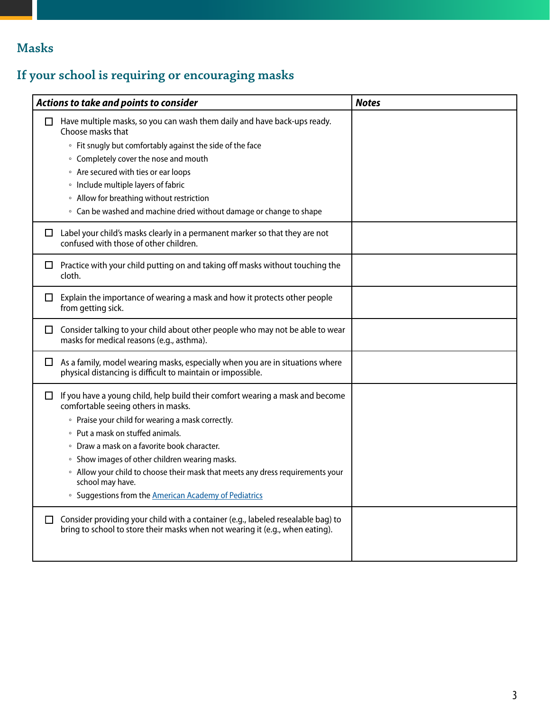## **Masks**

## **If your school is requiring or encouraging masks**

| Actions to take and points to consider |                                                                                                                                                                                                                                                                                                                                                                                                                                                                                                 | <b>Notes</b> |
|----------------------------------------|-------------------------------------------------------------------------------------------------------------------------------------------------------------------------------------------------------------------------------------------------------------------------------------------------------------------------------------------------------------------------------------------------------------------------------------------------------------------------------------------------|--------------|
| П                                      | Have multiple masks, so you can wash them daily and have back-ups ready.<br>Choose masks that<br>• Fit snugly but comfortably against the side of the face<br>• Completely cover the nose and mouth<br>• Are secured with ties or ear loops<br>• Include multiple layers of fabric<br>• Allow for breathing without restriction<br>• Can be washed and machine dried without damage or change to shape                                                                                          |              |
| $\Box$                                 | Label your child's masks clearly in a permanent marker so that they are not<br>confused with those of other children.                                                                                                                                                                                                                                                                                                                                                                           |              |
| ப                                      | Practice with your child putting on and taking off masks without touching the<br>cloth.                                                                                                                                                                                                                                                                                                                                                                                                         |              |
| ப                                      | Explain the importance of wearing a mask and how it protects other people<br>from getting sick.                                                                                                                                                                                                                                                                                                                                                                                                 |              |
| ⊔ ⊦                                    | Consider talking to your child about other people who may not be able to wear<br>masks for medical reasons (e.g., asthma).                                                                                                                                                                                                                                                                                                                                                                      |              |
| ப                                      | As a family, model wearing masks, especially when you are in situations where<br>physical distancing is difficult to maintain or impossible.                                                                                                                                                                                                                                                                                                                                                    |              |
| $\Box$                                 | If you have a young child, help build their comfort wearing a mask and become<br>comfortable seeing others in masks.<br>• Praise your child for wearing a mask correctly.<br>• Put a mask on stuffed animals.<br>• Draw a mask on a favorite book character.<br>• Show images of other children wearing masks.<br>• Allow your child to choose their mask that meets any dress requirements your<br>school may have.<br><sup>o</sup> Suggestions from the <b>American Academy of Pediatrics</b> |              |
| $\Box$                                 | Consider providing your child with a container (e.g., labeled resealable bag) to<br>bring to school to store their masks when not wearing it (e.g., when eating).                                                                                                                                                                                                                                                                                                                               |              |